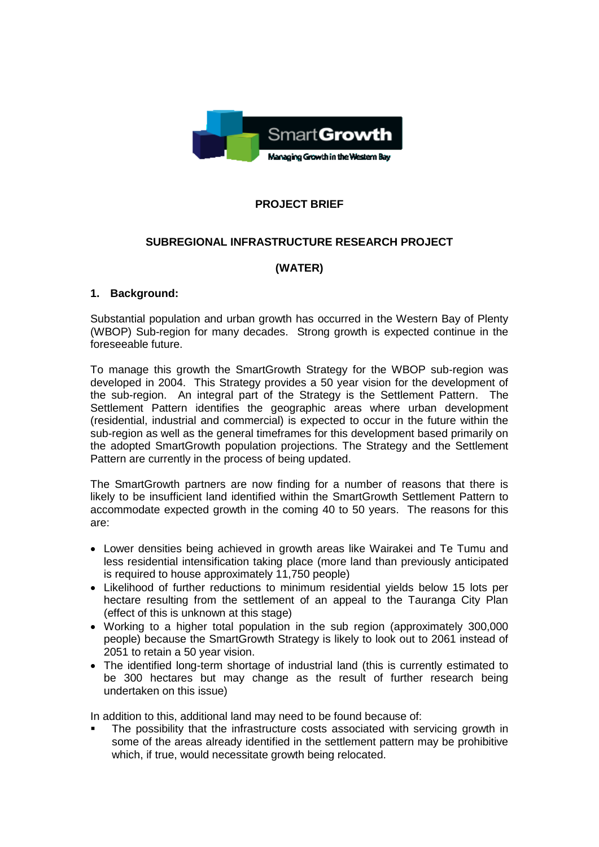

## **PROJECT BRIEF**

### **SUBREGIONAL INFRASTRUCTURE RESEARCH PROJECT**

### **(WATER)**

### **1. Background:**

Substantial population and urban growth has occurred in the Western Bay of Plenty (WBOP) Sub-region for many decades. Strong growth is expected continue in the foreseeable future.

To manage this growth the SmartGrowth Strategy for the WBOP sub-region was developed in 2004. This Strategy provides a 50 year vision for the development of the sub-region. An integral part of the Strategy is the Settlement Pattern. The Settlement Pattern identifies the geographic areas where urban development (residential, industrial and commercial) is expected to occur in the future within the sub-region as well as the general timeframes for this development based primarily on the adopted SmartGrowth population projections. The Strategy and the Settlement Pattern are currently in the process of being updated.

The SmartGrowth partners are now finding for a number of reasons that there is likely to be insufficient land identified within the SmartGrowth Settlement Pattern to accommodate expected growth in the coming 40 to 50 years. The reasons for this are:

- Lower densities being achieved in growth areas like Wairakei and Te Tumu and less residential intensification taking place (more land than previously anticipated is required to house approximately 11,750 people)
- Likelihood of further reductions to minimum residential yields below 15 lots per hectare resulting from the settlement of an appeal to the Tauranga City Plan (effect of this is unknown at this stage)
- Working to a higher total population in the sub region (approximately 300,000 people) because the SmartGrowth Strategy is likely to look out to 2061 instead of 2051 to retain a 50 year vision.
- The identified long-term shortage of industrial land (this is currently estimated to be 300 hectares but may change as the result of further research being undertaken on this issue)

In addition to this, additional land may need to be found because of:

 The possibility that the infrastructure costs associated with servicing growth in some of the areas already identified in the settlement pattern may be prohibitive which, if true, would necessitate growth being relocated.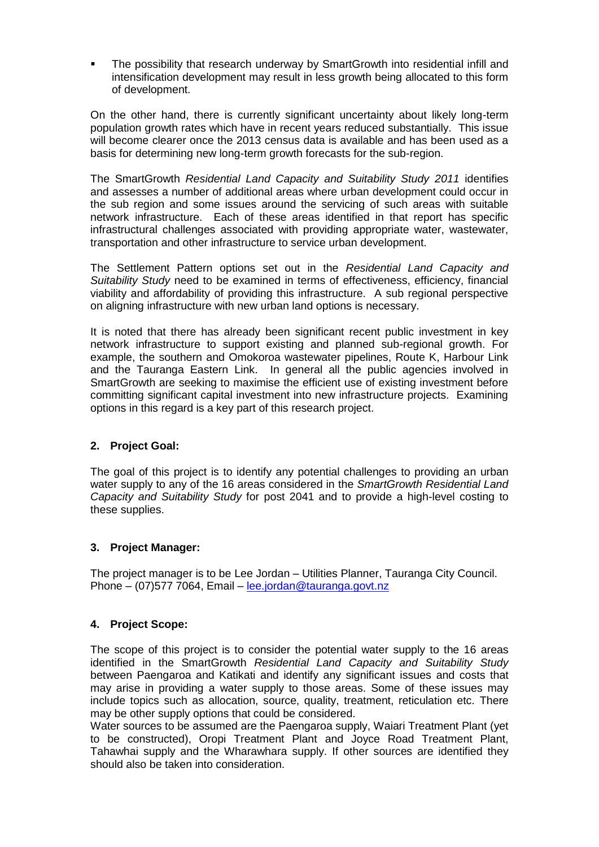The possibility that research underway by SmartGrowth into residential infill and intensification development may result in less growth being allocated to this form of development.

On the other hand, there is currently significant uncertainty about likely long-term population growth rates which have in recent years reduced substantially. This issue will become clearer once the 2013 census data is available and has been used as a basis for determining new long-term growth forecasts for the sub-region.

The SmartGrowth *Residential Land Capacity and Suitability Study 2011* identifies and assesses a number of additional areas where urban development could occur in the sub region and some issues around the servicing of such areas with suitable network infrastructure. Each of these areas identified in that report has specific infrastructural challenges associated with providing appropriate water, wastewater, transportation and other infrastructure to service urban development.

The Settlement Pattern options set out in the *Residential Land Capacity and Suitability Study* need to be examined in terms of effectiveness, efficiency, financial viability and affordability of providing this infrastructure. A sub regional perspective on aligning infrastructure with new urban land options is necessary.

It is noted that there has already been significant recent public investment in key network infrastructure to support existing and planned sub-regional growth. For example, the southern and Omokoroa wastewater pipelines, Route K, Harbour Link and the Tauranga Eastern Link. In general all the public agencies involved in SmartGrowth are seeking to maximise the efficient use of existing investment before committing significant capital investment into new infrastructure projects. Examining options in this regard is a key part of this research project.

### **2. Project Goal:**

The goal of this project is to identify any potential challenges to providing an urban water supply to any of the 16 areas considered in the *SmartGrowth Residential Land Capacity and Suitability Study* for post 2041 and to provide a high-level costing to these supplies.

### **3. Project Manager:**

The project manager is to be Lee Jordan – Utilities Planner, Tauranga City Council. Phone – (07)577 7064, Email – [lee.jordan@tauranga.govt.nz](mailto:lee.jordan@tauranga.govt.nz)

### **4. Project Scope:**

The scope of this project is to consider the potential water supply to the 16 areas identified in the SmartGrowth *Residential Land Capacity and Suitability Study* between Paengaroa and Katikati and identify any significant issues and costs that may arise in providing a water supply to those areas. Some of these issues may include topics such as allocation, source, quality, treatment, reticulation etc. There may be other supply options that could be considered.

Water sources to be assumed are the Paengaroa supply, Waiari Treatment Plant (yet to be constructed), Oropi Treatment Plant and Joyce Road Treatment Plant, Tahawhai supply and the Wharawhara supply. If other sources are identified they should also be taken into consideration.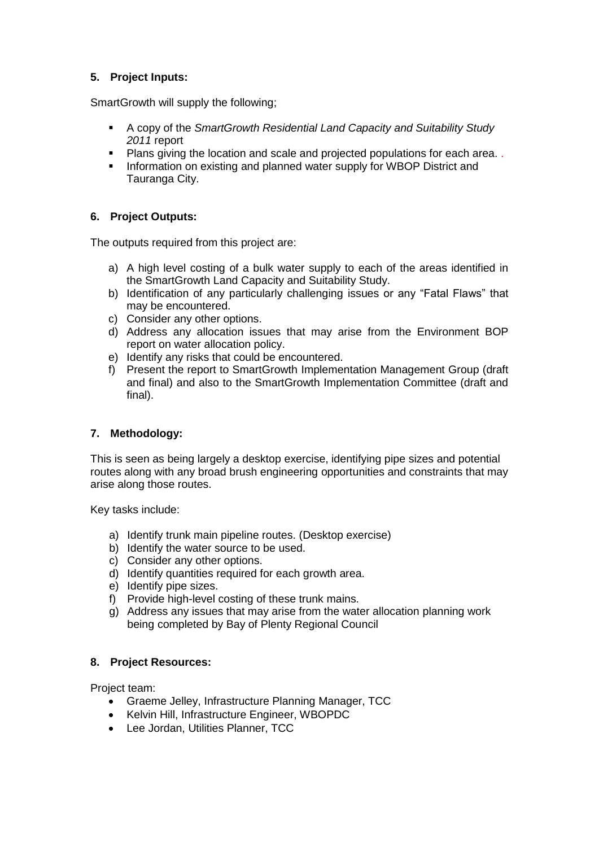### **5. Project Inputs:**

SmartGrowth will supply the following;

- A copy of the *SmartGrowth Residential Land Capacity and Suitability Study 2011* report
- Plans giving the location and scale and projected populations for each area.
- **Information on existing and planned water supply for WBOP District and** Tauranga City.

### **6. Project Outputs:**

The outputs required from this project are:

- a) A high level costing of a bulk water supply to each of the areas identified in the SmartGrowth Land Capacity and Suitability Study.
- b) Identification of any particularly challenging issues or any "Fatal Flaws" that may be encountered.
- c) Consider any other options.
- d) Address any allocation issues that may arise from the Environment BOP report on water allocation policy.
- e) Identify any risks that could be encountered.
- f) Present the report to SmartGrowth Implementation Management Group (draft and final) and also to the SmartGrowth Implementation Committee (draft and final).

### **7. Methodology:**

This is seen as being largely a desktop exercise, identifying pipe sizes and potential routes along with any broad brush engineering opportunities and constraints that may arise along those routes.

Key tasks include:

- a) Identify trunk main pipeline routes. (Desktop exercise)
- b) Identify the water source to be used.
- c) Consider any other options.
- d) Identify quantities required for each growth area.
- e) Identify pipe sizes.
- f) Provide high-level costing of these trunk mains.
- g) Address any issues that may arise from the water allocation planning work being completed by Bay of Plenty Regional Council

### **8. Project Resources:**

Project team:

- Graeme Jelley, Infrastructure Planning Manager, TCC
- Kelvin Hill, Infrastructure Engineer, WBOPDC
- Lee Jordan, Utilities Planner, TCC